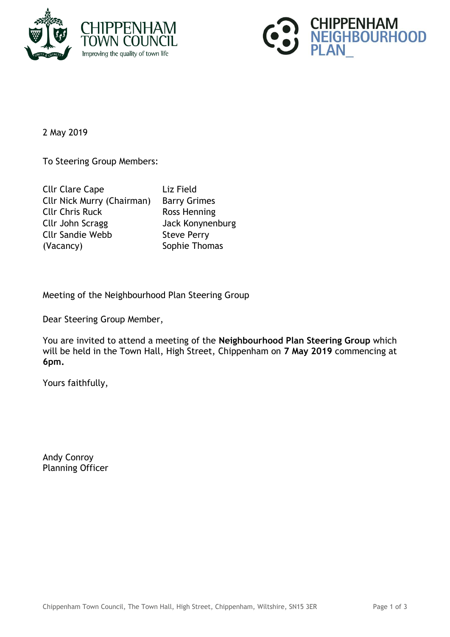



2 May 2019

To Steering Group Members:

| <b>Cllr Clare Cape</b>            | Liz |
|-----------------------------------|-----|
| <b>Cllr Nick Murry (Chairman)</b> | Bai |
| <b>Cllr Chris Ruck</b>            | Ro: |
| Cllr John Scragg                  | Jac |
| <b>Cllr Sandie Webb</b>           | Ste |
| (Vacancy)                         | Sor |

Field rry Grimes ss Henning ck Konynenburg eve Perry ohie Thomas

Meeting of the Neighbourhood Plan Steering Group

Dear Steering Group Member,

You are invited to attend a meeting of the **Neighbourhood Plan Steering Group** which will be held in the Town Hall, High Street, Chippenham on **7 May 2019** commencing at **6pm.**

Yours faithfully,

Andy Conroy Planning Officer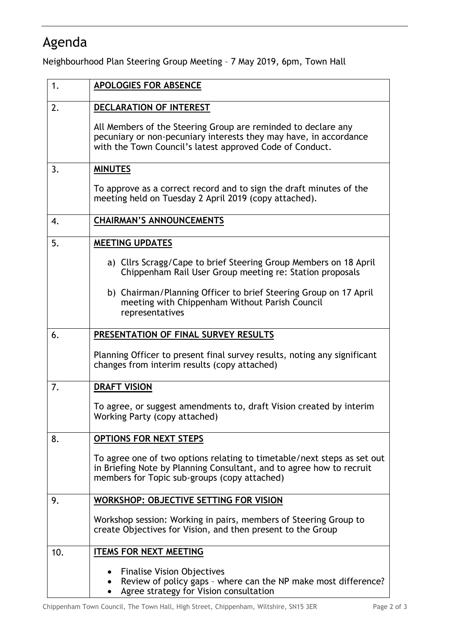## Agenda

Neighbourhood Plan Steering Group Meeting – 7 May 2019, 6pm, Town Hall

| 1.  | <b>APOLOGIES FOR ABSENCE</b>                                                                                                                                                                    |
|-----|-------------------------------------------------------------------------------------------------------------------------------------------------------------------------------------------------|
| 2.  | DECLARATION OF INTEREST                                                                                                                                                                         |
|     | All Members of the Steering Group are reminded to declare any<br>pecuniary or non-pecuniary interests they may have, in accordance<br>with the Town Council's latest approved Code of Conduct.  |
| 3.  | <b>MINUTES</b>                                                                                                                                                                                  |
|     | To approve as a correct record and to sign the draft minutes of the<br>meeting held on Tuesday 2 April 2019 (copy attached).                                                                    |
| 4.  | <b>CHAIRMAN'S ANNOUNCEMENTS</b>                                                                                                                                                                 |
| 5.  | <b>MEETING UPDATES</b>                                                                                                                                                                          |
|     | a) Cllrs Scragg/Cape to brief Steering Group Members on 18 April<br>Chippenham Rail User Group meeting re: Station proposals                                                                    |
|     | b) Chairman/Planning Officer to brief Steering Group on 17 April<br>meeting with Chippenham Without Parish Council<br>representatives                                                           |
| 6.  | PRESENTATION OF FINAL SURVEY RESULTS                                                                                                                                                            |
|     | Planning Officer to present final survey results, noting any significant<br>changes from interim results (copy attached)                                                                        |
| 7.  | <b>DRAFT VISION</b>                                                                                                                                                                             |
|     | To agree, or suggest amendments to, draft Vision created by interim<br>Working Party (copy attached)                                                                                            |
| 8.  | <b>OPTIONS FOR NEXT STEPS</b>                                                                                                                                                                   |
|     | To agree one of two options relating to timetable/next steps as set out<br>in Briefing Note by Planning Consultant, and to agree how to recruit<br>members for Topic sub-groups (copy attached) |
| 9.  | <b>WORKSHOP: OBJECTIVE SETTING FOR VISION</b>                                                                                                                                                   |
|     | Workshop session: Working in pairs, members of Steering Group to<br>create Objectives for Vision, and then present to the Group                                                                 |
| 10. | <b>ITEMS FOR NEXT MEETING</b>                                                                                                                                                                   |
|     | <b>Finalise Vision Objectives</b><br>Review of policy gaps - where can the NP make most difference?<br>Agree strategy for Vision consultation                                                   |